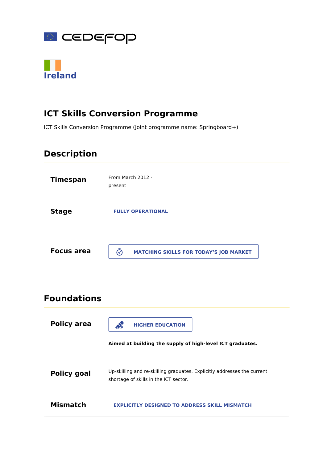



# **ICT Skills Conversion Programme**

ICT Skills Conversion Programme (Joint programme name: Springboard+)

### **Description**

| <b>Timespan</b>   | From March 2012 -<br>present                       |
|-------------------|----------------------------------------------------|
| <b>Stage</b>      | <b>FULLY OPERATIONAL</b>                           |
| <b>Focus area</b> | ග<br><b>MATCHING SKILLS FOR TODAY'S JOB MARKET</b> |

### **Foundations**

| <b>Policy area</b> | <b>HIGHER EDUCATION</b><br>Aimed at building the supply of high-level ICT graduates.                             |
|--------------------|------------------------------------------------------------------------------------------------------------------|
| Policy goal        | Up-skilling and re-skilling graduates. Explicitly addresses the current<br>shortage of skills in the ICT sector. |
| Mismatch           | <b>EXPLICITLY DESIGNED TO ADDRESS SKILL MISMATCH</b>                                                             |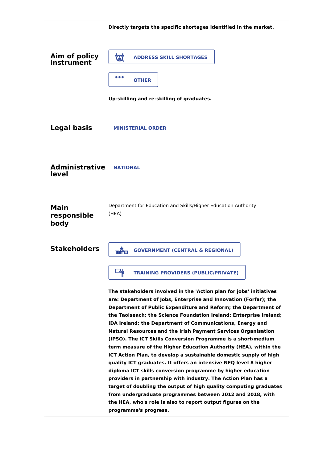|                                    | Directly targets the specific shortages identified in the market.                                                                                                                                                                                                                                                                                                                                                                                                                                                                                                                                                                                                                                                                                                                                                                                                                                                                                                                                                                                                   |
|------------------------------------|---------------------------------------------------------------------------------------------------------------------------------------------------------------------------------------------------------------------------------------------------------------------------------------------------------------------------------------------------------------------------------------------------------------------------------------------------------------------------------------------------------------------------------------------------------------------------------------------------------------------------------------------------------------------------------------------------------------------------------------------------------------------------------------------------------------------------------------------------------------------------------------------------------------------------------------------------------------------------------------------------------------------------------------------------------------------|
| Aim of policy<br>instrument        | Ö.<br><b>ADDRESS SKILL SHORTAGES</b>                                                                                                                                                                                                                                                                                                                                                                                                                                                                                                                                                                                                                                                                                                                                                                                                                                                                                                                                                                                                                                |
|                                    | $\bullet\bullet\bullet$<br><b>OTHER</b>                                                                                                                                                                                                                                                                                                                                                                                                                                                                                                                                                                                                                                                                                                                                                                                                                                                                                                                                                                                                                             |
|                                    | Up-skilling and re-skilling of graduates.                                                                                                                                                                                                                                                                                                                                                                                                                                                                                                                                                                                                                                                                                                                                                                                                                                                                                                                                                                                                                           |
| <b>Legal basis</b>                 | <b>MINISTERIAL ORDER</b>                                                                                                                                                                                                                                                                                                                                                                                                                                                                                                                                                                                                                                                                                                                                                                                                                                                                                                                                                                                                                                            |
| <b>Administrative</b><br>level     | <b>NATIONAL</b>                                                                                                                                                                                                                                                                                                                                                                                                                                                                                                                                                                                                                                                                                                                                                                                                                                                                                                                                                                                                                                                     |
| <b>Main</b><br>responsible<br>body | Department for Education and Skills/Higher Education Authority<br>(HEA)                                                                                                                                                                                                                                                                                                                                                                                                                                                                                                                                                                                                                                                                                                                                                                                                                                                                                                                                                                                             |
| <b>Stakeholders</b>                | <b>GOVERNMENT (CENTRAL &amp; REGIONAL)</b><br>môn                                                                                                                                                                                                                                                                                                                                                                                                                                                                                                                                                                                                                                                                                                                                                                                                                                                                                                                                                                                                                   |
|                                    | <b>N</b><br><b>TRAINING PROVIDERS (PUBLIC/PRIVATE)</b>                                                                                                                                                                                                                                                                                                                                                                                                                                                                                                                                                                                                                                                                                                                                                                                                                                                                                                                                                                                                              |
|                                    | The stakeholders involved in the 'Action plan for jobs' initiatives<br>are: Department of Jobs, Enterprise and Innovation (Forfar); the<br>Department of Public Expenditure and Reform; the Department of<br>the Taoiseach; the Science Foundation Ireland; Enterprise Ireland;<br><b>IDA Ireland; the Department of Communications, Energy and</b><br><b>Natural Resources and the Irish Payment Services Organisation</b><br>(IPSO). The ICT Skills Conversion Programme is a short/medium<br>term measure of the Higher Education Authority (HEA), within the<br>ICT Action Plan, to develop a sustainable domestic supply of high<br>quality ICT graduates. It offers an intensive NFQ level 8 higher<br>diploma ICT skills conversion programme by higher education<br>providers in partnership with industry. The Action Plan has a<br>target of doubling the output of high quality computing graduates<br>from undergraduate programmes between 2012 and 2018, with<br>the HEA, who's role is also to report output figures on the<br>programme's progress. |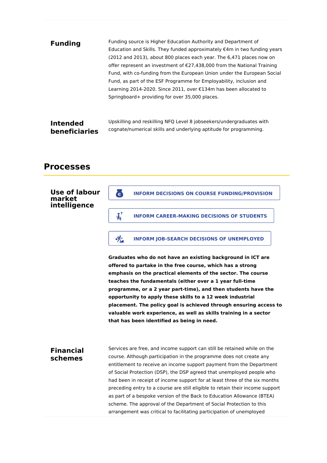| <b>Funding</b>       | Funding source is Higher Education Authority and Department of<br>Education and Skills. They funded approximately $\epsilon$ 4m in two funding years<br>(2012 and 2013), about 800 places each year. The 6,471 places now on<br>offer represent an investment of $E$ 27,438,000 from the National Training<br>Fund, with co-funding from the European Union under the European Social<br>Fund, as part of the ESF Programme for Employability, inclusion and<br>Learning 2014-2020. Since 2011, over €134m has been allocated to<br>Springboard+ providing for over 35,000 places. |
|----------------------|------------------------------------------------------------------------------------------------------------------------------------------------------------------------------------------------------------------------------------------------------------------------------------------------------------------------------------------------------------------------------------------------------------------------------------------------------------------------------------------------------------------------------------------------------------------------------------|
| <b>Intended</b>      | Upskilling and reskilling NFQ Level 8 jobseekers/undergraduates with                                                                                                                                                                                                                                                                                                                                                                                                                                                                                                               |
| <b>beneficiaries</b> | cognate/numerical skills and underlying aptitude for programming.                                                                                                                                                                                                                                                                                                                                                                                                                                                                                                                  |

### **Processes**

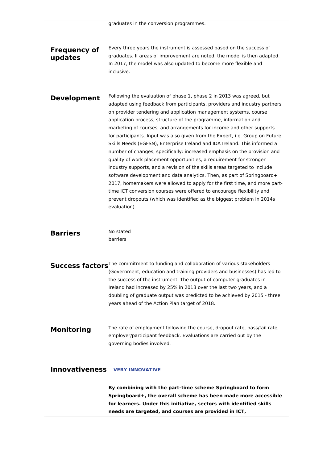graduates in the conversion programmes.

### **Frequency of updates**

Every three years the instrument is assessed based on the success of graduates. If areas of improvement are noted, the model is then adapted. In 2017, the model was also updated to become more flexible and inclusive.

**Development** Following the evaluation of phase 1, phase 2 in 2013 was agreed, but adapted using feedback from participants, providers and industry partners on provider tendering and application management systems, course application process, structure of the programme, information and marketing of courses, and arrangements for income and other supports for participants. Input was also given from the Expert, i.e. Group on Future Skills Needs (EGFSN), Enterprise Ireland and IDA Ireland. This informed a number of changes, specifically: increased emphasis on the provision and quality of work placement opportunities, a requirement for stronger industry supports, and a revision of the skills areas targeted to include software development and data analytics. Then, as part of Springboard+ 2017, homemakers were allowed to apply for the first time, and more parttime ICT conversion courses were offered to encourage flexibility and prevent dropouts (which was identified as the biggest problem in 2014s evaluation).

### **Barriers**

No stated barriers

**Success factors**<sup>The commitment to funding and collaboration of various stakeholders</sup> (Government, education and training providers and businesses) has led to the success of the instrument. The output of computer graduates in Ireland had increased by 25% in 2013 over the last two years, and a doubling of graduate output was predicted to be achieved by 2015 - three years ahead of the Action Plan target of 2018.

**Monitoring** The rate of employment following the course, dropout rate, pass/fail rate, employer/participant feedback. Evaluations are carried out by the governing bodies involved.

**Innovativeness VERY INNOVATIVE**

**By combining with the part-time scheme Springboard to form Springboard+, the overall scheme has been made more accessible for learners. Under this initiative, sectors with identified skills needs are targeted, and courses are provided in ICT,**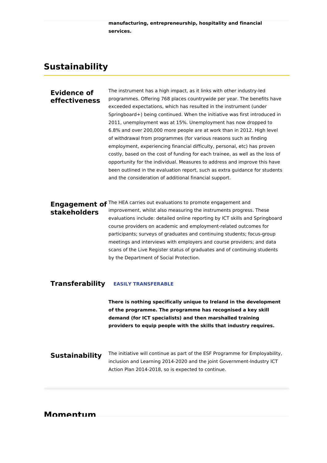**manufacturing, entrepreneurship, hospitality and financial services.**

### **Sustainability**

#### **Evidence of effectiveness**

The instrument has a high impact, as it links with other industry-led programmes. Offering 768 places countrywide per year. The benefits have exceeded expectations, which has resulted in the instrument (under Springboard+) being continued. When the initiative was first introduced in 2011, unemployment was at 15%. Unemployment has now dropped to 6.8% and over 200,000 more people are at work than in 2012. High level of withdrawal from programmes (for various reasons such as finding employment, experiencing financial difficulty, personal, etc) has proven costly, based on the cost of funding for each trainee, as well as the loss of opportunity for the individual. Measures to address and improve this have been outlined in the evaluation report, such as extra guidance for students and the consideration of additional financial support.

# **stakeholders**

**Engagement of** The HEA carries out evaluations to promote engagement and improvement, whilst also measuring the instruments progress. These evaluations include: detailed online reporting by ICT skills and Springboard course providers on academic and employment-related outcomes for participants; surveys of graduates and continuing students; focus-group meetings and interviews with employers and course providers; and data scans of the Live Register status of graduates and of continuing students by the Department of Social Protection.

#### **Transferability EASILY TRANSFERABLE**

**There is nothing specifically unique to Ireland in the development of the programme. The programme has recognised a key skill demand (for ICT specialists) and then marshalled training providers to equip people with the skills that industry requires.**

**Sustainability** The initiative will continue as part of the ESF Programme for Employability, inclusion and Learning 2014-2020 and the joint Government-Industry ICT Action Plan 2014-2018, so is expected to continue.

**Momentum**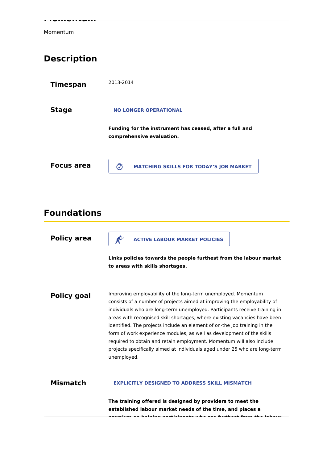**Momentum**

Momentum

# **Description**

| <b>Timespan</b>   | 2013-2014                                                                            |
|-------------------|--------------------------------------------------------------------------------------|
| <b>Stage</b>      | <b>NO LONGER OPERATIONAL</b>                                                         |
|                   | Funding for the instrument has ceased, after a full and<br>comprehensive evaluation. |
| <b>Focus area</b> | の<br><b>MATCHING SKILLS FOR TODAY'S JOB MARKET</b>                                   |

# **Foundations**

| <b>Policy area</b> | $\mathcal{K}^{\circ}$<br><b>ACTIVE LABOUR MARKET POLICIES</b>                                                                                                                                                                                                                                                                                                                                                                                                                                                                                                                                                                   |
|--------------------|---------------------------------------------------------------------------------------------------------------------------------------------------------------------------------------------------------------------------------------------------------------------------------------------------------------------------------------------------------------------------------------------------------------------------------------------------------------------------------------------------------------------------------------------------------------------------------------------------------------------------------|
|                    | Links policies towards the people furthest from the labour market<br>to areas with skills shortages.                                                                                                                                                                                                                                                                                                                                                                                                                                                                                                                            |
| <b>Policy goal</b> | Improving employability of the long-term unemployed. Momentum<br>consists of a number of projects aimed at improving the employability of<br>individuals who are long-term unemployed. Participants receive training in<br>areas with recognised skill shortages, where existing vacancies have been<br>identified. The projects include an element of on-the job training in the<br>form of work experience modules, as well as development of the skills<br>required to obtain and retain employment. Momentum will also include<br>projects specifically aimed at individuals aged under 25 who are long-term<br>unemployed. |
| <b>Mismatch</b>    | <b>EXPLICITLY DESIGNED TO ADDRESS SKILL MISMATCH</b>                                                                                                                                                                                                                                                                                                                                                                                                                                                                                                                                                                            |
|                    | The training offered is designed by providers to meet the<br>established labour market needs of the time, and places a<br>ang bagay ang kagbahan ang akhalang antara ang ang dinakkanak dan ang kilan kalangan                                                                                                                                                                                                                                                                                                                                                                                                                  |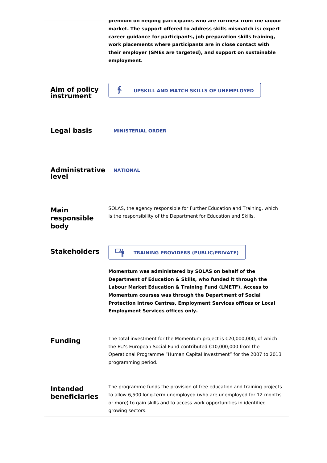|                                    | premium on neiping participants wno are furtnest from the labour<br>market. The support offered to address skills mismatch is: expert<br>career guidance for participants, job preparation skills training,<br>work placements where participants are in close contact with<br>their employer (SMEs are targeted), and support on sustainable<br>employment.    |
|------------------------------------|-----------------------------------------------------------------------------------------------------------------------------------------------------------------------------------------------------------------------------------------------------------------------------------------------------------------------------------------------------------------|
| Aim of policy<br>instrument        | B<br><b>UPSKILL AND MATCH SKILLS OF UNEMPLOYED</b>                                                                                                                                                                                                                                                                                                              |
| <b>Legal basis</b>                 | <b>MINISTERIAL ORDER</b>                                                                                                                                                                                                                                                                                                                                        |
| <b>Administrative</b><br>level     | <b>NATIONAL</b>                                                                                                                                                                                                                                                                                                                                                 |
| <b>Main</b><br>responsible<br>body | SOLAS, the agency responsible for Further Education and Training, which<br>is the responsibility of the Department for Education and Skills.                                                                                                                                                                                                                    |
| <b>Stakeholders</b>                | <b>TRAINING PROVIDERS (PUBLIC/PRIVATE)</b>                                                                                                                                                                                                                                                                                                                      |
|                                    | Momentum was administered by SOLAS on behalf of the<br>Department of Education & Skills, who funded it through the<br>Labour Market Education & Training Fund (LMETF). Access to<br>Momentum courses was through the Department of Social<br><b>Protection Intreo Centres, Employment Services offices or Local</b><br><b>Employment Services offices only.</b> |
| <b>Funding</b>                     | The total investment for the Momentum project is €20,000,000, of which<br>the EU's European Social Fund contributed €10,000,000 from the<br>Operational Programme "Human Capital Investment" for the 2007 to 2013<br>programming period.                                                                                                                        |
| <b>Intended</b><br>beneficiaries   | The programme funds the provision of free education and training projects<br>to allow 6,500 long-term unemployed (who are unemployed for 12 months<br>or more) to gain skills and to access work opportunities in identified<br>growing sectors.                                                                                                                |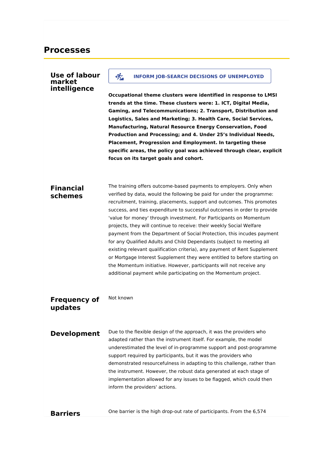### **Use of labour market intelligence Occupational theme clusters were identified in response to LMSI trends at the time. These clusters were: 1. ICT, Digital Media, Gaming, and Telecommunications; 2. Transport, Distribution and Logistics, Sales and Marketing; 3. Health Care, Social Services, Manufacturing, Natural Resource Energy Conservation, Food Production and Processing; and 4. Under 25's Individual Needs, Placement, Progression and Employment. In targeting these specific areas, the policy goal was achieved through clear, explicit focus on its target goals and cohort. Financial schemes** The training offers outcome-based payments to employers. Only when verified by data, would the following be paid for under the programme: recruitment, training, placements, support and outcomes. This promotes success, and ties expenditure to successful outcomes in order to provide 'value for money' through investment. For Participants on Momentum projects, they will continue to receive: their weekly Social Welfare payment from the Department of Social Protection, this incudes payment for any Qualified Adults and Child Dependants (subject to meeting all existing relevant qualification criteria), any payment of Rent Supplement or Mortgage Interest Supplement they were entitled to before starting on the Momentum initiative. However, participants will not receive any additional payment while participating on the Momentum project. **Frequency of updates** Not known **Development** Due to the flexible design of the approach, it was the providers who adapted rather than the instrument itself. For example, the model underestimated the level of in-programme support and post-programme support required by participants, but it was the providers who demonstrated resourcefulness in adapting to this challenge, rather than the instrument. However, the robust data generated at each stage of implementation allowed for any issues to be flagged, which could then inform the providers' actions. **INFORM JOB-SEARCH DECISIONS OF UNEMPLOYED**

**Barriers**

One barrier is the high drop-out rate of participants. From the 6,574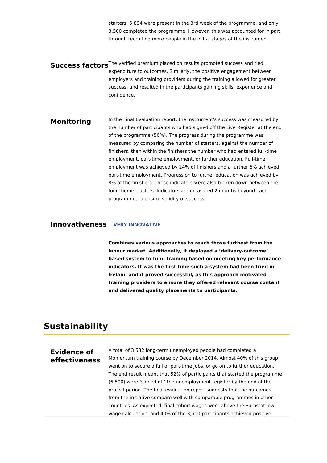starters, 5,894 were present in the 3rd week of the programme, and only 3,500 completed the programme. However, this was accounted for in part through recruiting more people in the initial stages of the instrument.

**Success factors**<sup>The verified premium placed on results promoted success and tied</sup> expenditure to outcomes. Similarly, the positive engagement between employers and training providers during the training allowed for greater success, and resulted in the participants gaining skills, experience and confidence.

**Monitoring** In the Final Evaluation report, the instrument's success was measured by the number of participants who had signed off the Live Register at the end of the programme (50%). The progress during the programme was measured by comparing the number of starters, against the number of finishers, then within the finishers the number who had entered full-time employment, part-time employment, or further education. Full-time employment was achieved by 24% of finishers and a further 6% achieved part-time employment. Progression to further education was achieved by 8% of the finishers. These indicators were also broken down between the four theme clusters. Indicators are measured 2 months beyond each programme, to ensure validity of success.

#### **Innovativeness VERY INNOVATIVE**

**Combines various approaches to reach those furthest from the labour market. Additionally, it deployed a 'delivery-outcome' based system to fund training based on meeting key performance indicators. It was the first time such a system had been tried in Ireland and it proved successful, as this approach motivated training providers to ensure they offered relevant course content and delivered quality placements to participants.**

### **Sustainability**

#### **Evidence of effectiveness**

A total of 3,532 long-term unemployed people had completed a Momentum training course by December 2014. Almost 40% of this group went on to secure a full or part-time jobs, or go on to further education. The end result meant that 52% of participants that started the programme (6,500) were 'signed off' the unemployment register by the end of the project period. The final evaluation report suggests that the outcomes from the initiative compare well with comparable programmes in other countries. As expected, final cohort wages were above the Eurostat lowwage calculation, and 40% of the 3,500 participants achieved positive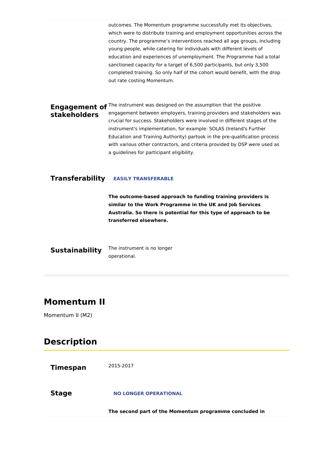outcomes. The Momentum programme successfully met its objectives, which were to distribute training and employment opportunities across the country. The programme's interventions reached all age groups, including young people, while catering for individuals with different levels of education and experiences of unemployment. The Programme had a total sanctioned capacity for a target of 6,500 participants, but only 3,500 completed training. So only half of the cohort would benefit, with the drop out rate costing Momentum.

**Engagement of** <sup>The instrument was designed on the assumption that the positive</sup> **stakeholders** engagement between employers, training providers and stakeholders was crucial for success. Stakeholders were involved in different stages of the instrument's implementation, for example: SOLAS (Ireland's Further Education and Training Authority) partook in the pre-qualification process with various other contractors, and criteria provided by DSP were used as a guidelines for participant eligibility.

### **Transferability EASILY TRANSFERABLE**

**The outcome-based approach to funding training providers is similar to the Work Programme in the UK and Job Services Australia. So there is potential for this type of approach to be transferred elsewhere.**

**Sustainability** The instrument is no longer operational.

### **Momentum II**

Momentum II (M2)

### **Description**

| <b>Timespan</b> | 2015-2017                                              |
|-----------------|--------------------------------------------------------|
| <b>Stage</b>    | <b>NO LONGER OPERATIONAL</b>                           |
|                 | The second part of the Momentum programme concluded in |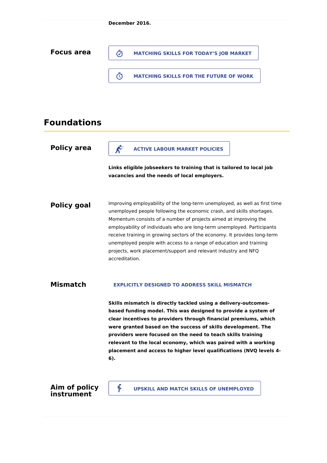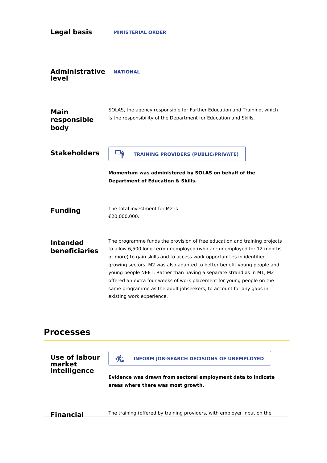| <b>Legal basis</b>                      | <b>MINISTERIAL ORDER</b>                                                                                                                                                                                                                                                                                                                                                                                                                                                                                                                                    |
|-----------------------------------------|-------------------------------------------------------------------------------------------------------------------------------------------------------------------------------------------------------------------------------------------------------------------------------------------------------------------------------------------------------------------------------------------------------------------------------------------------------------------------------------------------------------------------------------------------------------|
| <b>Administrative</b><br>level          | <b>NATIONAL</b>                                                                                                                                                                                                                                                                                                                                                                                                                                                                                                                                             |
| <b>Main</b><br>responsible<br>body      | SOLAS, the agency responsible for Further Education and Training, which<br>is the responsibility of the Department for Education and Skills.                                                                                                                                                                                                                                                                                                                                                                                                                |
| <b>Stakeholders</b>                     | $\Box_{\hat{\mathbf{M}}}$<br><b>TRAINING PROVIDERS (PUBLIC/PRIVATE)</b>                                                                                                                                                                                                                                                                                                                                                                                                                                                                                     |
|                                         | Momentum was administered by SOLAS on behalf of the<br>Department of Education & Skills.                                                                                                                                                                                                                                                                                                                                                                                                                                                                    |
| <b>Funding</b>                          | The total investment for M2 is<br>€20,000,000.                                                                                                                                                                                                                                                                                                                                                                                                                                                                                                              |
| <b>Intended</b><br>beneficiaries        | The programme funds the provision of free education and training projects<br>to allow 6,500 long-term unemployed (who are unemployed for 12 months<br>or more) to gain skills and to access work opportunities in identified<br>growing sectors. M2 was also adapted to better benefit young people and<br>young people NEET. Rather than having a separate strand as in M1, M2<br>offered an extra four weeks of work placement for young people on the<br>same programme as the adult jobseekers, to account for any gaps in<br>existing work experience. |
| <b>Processes</b>                        |                                                                                                                                                                                                                                                                                                                                                                                                                                                                                                                                                             |
| Use of labour<br>market<br>intelligence | 侪<br><b>INFORM JOB-SEARCH DECISIONS OF UNEMPLOYED</b><br>Evidence was drawn from sectoral employment data to indicate<br>areas where there was most growth.                                                                                                                                                                                                                                                                                                                                                                                                 |
| <b>Financial</b>                        | The training (offered by training providers, with employer input on the                                                                                                                                                                                                                                                                                                                                                                                                                                                                                     |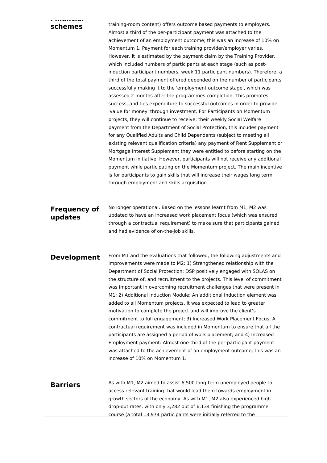| schemes                        | training-room content) offers outcome based payments to employers.<br>Almost a third of the per-participant payment was attached to the<br>achievement of an employment outcome; this was an increase of 10% on<br>Momentum 1. Payment for each training provider/employer varies.<br>However, it is estimated by the payment claim by the Training Provider,<br>which included numbers of participants at each stage (such as post-<br>induction participant numbers, week 11 participant numbers). Therefore, a<br>third of the total payment offered depended on the number of participants<br>successfully making it to the 'employment outcome stage', which was<br>assessed 2 months after the programmes completion. This promotes<br>success, and ties expenditure to successful outcomes in order to provide<br>'value for money' through investment. For Participants on Momentum<br>projects, they will continue to receive: their weekly Social Welfare<br>payment from the Department of Social Protection, this incudes payment<br>for any Qualified Adults and Child Dependants (subject to meeting all<br>existing relevant qualification criteria) any payment of Rent Supplement or<br>Mortgage Interest Supplement they were entitled to before starting on the<br>Momentum initiative. However, participants will not receive any additional<br>payment while participating on the Momentum project. The main incentive<br>is for participants to gain skills that will increase their wages long term<br>through employment and skills acquisition. |
|--------------------------------|--------------------------------------------------------------------------------------------------------------------------------------------------------------------------------------------------------------------------------------------------------------------------------------------------------------------------------------------------------------------------------------------------------------------------------------------------------------------------------------------------------------------------------------------------------------------------------------------------------------------------------------------------------------------------------------------------------------------------------------------------------------------------------------------------------------------------------------------------------------------------------------------------------------------------------------------------------------------------------------------------------------------------------------------------------------------------------------------------------------------------------------------------------------------------------------------------------------------------------------------------------------------------------------------------------------------------------------------------------------------------------------------------------------------------------------------------------------------------------------------------------------------------------------------------------------------------|
| <b>Frequency of</b><br>updates | No longer operational. Based on the lessons learnt from M1, M2 was<br>updated to have an increased work placement focus (which was ensured<br>through a contractual requirement) to make sure that participants gained<br>and had evidence of on-the-job skills.                                                                                                                                                                                                                                                                                                                                                                                                                                                                                                                                                                                                                                                                                                                                                                                                                                                                                                                                                                                                                                                                                                                                                                                                                                                                                                         |
| <b>Development</b>             | From M1 and the evaluations that followed, the following adjustments and<br>improvements were made to M2: 1) Strengthened relationship with the<br>Department of Social Protection: DSP positively engaged with SOLAS on<br>the structure of, and recruitment to the projects. This level of commitment<br>was important in overcoming recruitment challenges that were present in<br>M1; 2) Additional Induction Module: An additional Induction element was<br>added to all Momentum projects. It was expected to lead to greater<br>motivation to complete the project and will improve the client's<br>commitment to full engagement; 3) Increased Work Placement Focus: A<br>contractual requirement was included in Momentum to ensure that all the<br>participants are assigned a period of work placement; and 4) Increased<br>Employment payment: Almost one-third of the per-participant payment<br>was attached to the achievement of an employment outcome; this was an<br>increase of 10% on Momentum 1.                                                                                                                                                                                                                                                                                                                                                                                                                                                                                                                                                    |
| <b>Barriers</b>                | As with M1, M2 aimed to assist 6,500 long-term unemployed people to<br>access relevant training that would lead them towards employment in<br>growth sectors of the economy. As with M1, M2 also experienced high<br>drop-out rates, with only 3,282 out of 6,134 finishing the programme<br>course (a total 13,974 participants were initially referred to the                                                                                                                                                                                                                                                                                                                                                                                                                                                                                                                                                                                                                                                                                                                                                                                                                                                                                                                                                                                                                                                                                                                                                                                                          |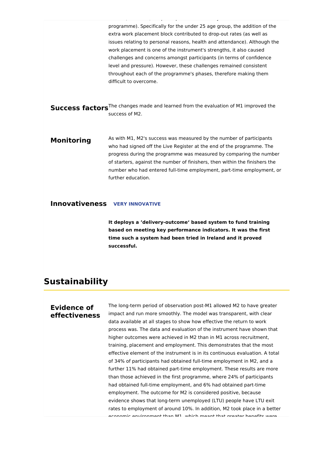programme). Specifically for the under 25 age group, the addition of the extra work placement block contributed to drop-out rates (as well as issues relating to personal reasons, health and attendance). Although the work placement is one of the instrument's strengths, it also caused challenges and concerns amongst participants (in terms of confidence level and pressure). However, these challenges remained consistent throughout each of the programme's phases, therefore making them difficult to overcome. **Success factors**<sup>The changes made and learned from the evaluation of M1 improved the</sup> success of M2. **Monitoring** As with M1, M2's success was measured by the number of participants who had signed off the Live Register at the end of the programme. The progress during the programme was measured by comparing the number of starters, against the number of finishers, then within the finishers the

course (a total 13,974 participants were initially referred to the

number who had entered full-time employment, part-time employment, or further education.

#### **Innovativeness VERY INNOVATIVE**

**It deploys a 'delivery-outcome' based system to fund training based on meeting key performance indicators. It was the first time such a system had been tried in Ireland and it proved successful.**

### **Sustainability**

#### **Evidence of effectiveness**

The long-term period of observation post-M1 allowed M2 to have greater impact and run more smoothly. The model was transparent, with clear data available at all stages to show how effective the return to work process was. The data and evaluation of the instrument have shown that higher outcomes were achieved in M2 than in M1 across recruitment, training, placement and employment. This demonstrates that the most effective element of the instrument is in its continuous evaluation. A total of 34% of participants had obtained full-time employment in M2, and a further 11% had obtained part-time employment. These results are more than those achieved in the first programme, where 24% of participants had obtained full-time employment, and 6% had obtained part-time employment. The outcome for M2 is considered positive, because evidence shows that long-term unemployed (LTU) people have LTU exit rates to employment of around 10%. In addition, M2 took place in a better economic environment than M1, which meant that greater benefits were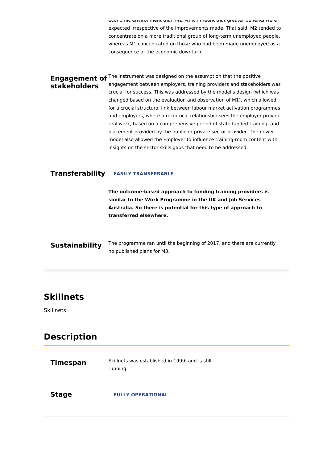economic environment than M1, which meant that greater benefits were expected irrespective of the improvements made. That said, M2 tended to concentrate on a more traditional group of long-term unemployed people, whereas M1 concentrated on those who had been made unemployed as a consequence of the economic downturn.

**Engagement of** <sup>The instrument was designed on the assumption that the positive</sup> **stakeholders** engagement between employers, training providers and stakeholders was crucial for success. This was addressed by the model's design (which was changed based on the evaluation and observation of M1), which allowed for a crucial structural link between labour market activation programmes and employers, where a reciprocal relationship sees the employer provide real work, based on a comprehensive period of state funded training, and placement provided by the public or private sector provider. The newer model also allowed the Employer to influence training-room content with insights on the sector skills gaps that need to be addressed.

#### **Transferability EASILY TRANSFERABLE**

**The outcome-based approach to funding training providers is similar to the Work Programme in the UK and Job Services Australia. So there is potential for this type of approach to transferred elsewhere.**

**Sustainability** The programme ran until the beginning of 2017, and there are currently no published plans for M3.

### **Skillnets**

**Skillnets** 

### **Description**

| <b>Timespan</b> | Skillnets was established in 1999, and is still<br>running. |
|-----------------|-------------------------------------------------------------|
| <b>Stage</b>    | <b>FULLY OPERATIONAL</b>                                    |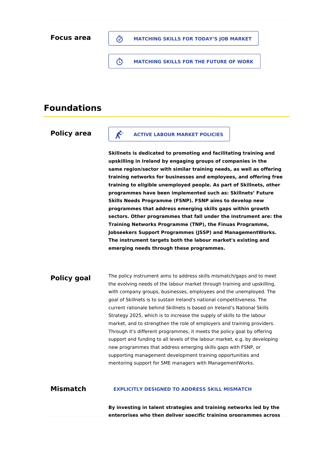#### **MATCHING SKILLS FOR TODAY'S JOB MARKET**

**MATCHING SKILLS FOR THE FUTURE OF WORK**

### **Foundations**

#### **Policy area**

# **ACTIVE LABOUR MARKET POLICIES**

**Skillnets is dedicated to promoting and facilitating training and upskilling in Ireland by engaging groups of companies in the same region/sector with similar training needs, as well as offering training networks for businesses and employees, and offering free training to eligible unemployed people. As part of Skillnets, other programmes have been implemented such as: Skillnets' Future Skills Needs Programme (FSNP). FSNP aims to develop new programmes that address emerging skills gaps within growth sectors. Other programmes that fall under the instrument are: the Training Networks Programme (TNP), the Finuas Programme, Jobseekers Support Programmes (JSSP) and ManagementWorks. The instrument targets both the labour market's existing and emerging needs through these programmes.**

#### **Policy goal** The policy instrument aims to address skills mismatch/gaps and to meet the evolving needs of the labour market through training and upskilling, with company groups, businesses, employees and the unemployed. The goal of Skillnets is to sustain Ireland's national competitiveness. The current rationale behind Skillnets is based on Ireland's National Skills Strategy 2025, which is to increase the supply of skills to the labour market, and to strengthen the role of employers and training providers. Through it's different programmes, it meets the policy goal by offering support and funding to all levels of the labour market, e.g. by developing new programmes that address emerging skills gaps with FSNP, or supporting management development training opportunities and mentoring support for SME managers with ManagementWorks.

#### **Mismatch EXPLICITLY DESIGNED TO ADDRESS SKILL MISMATCH**

**By investing in talent strategies and training networks led by the enterprises who then deliver specific training programmes across**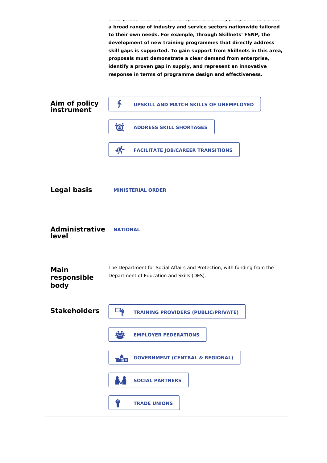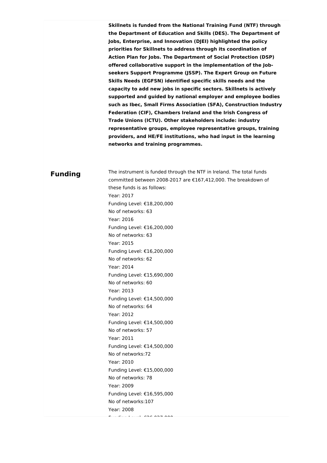**Skillnets is funded from the National Training Fund (NTF) through the Department of Education and Skills (DES). The Department of Jobs, Enterprise, and Innovation (DJEI) highlighted the policy priorities for Skillnets to address through its coordination of Action Plan for Jobs. The Department of Social Protection (DSP) offered collaborative support in the implementation of the Jobseekers Support Programme (JSSP). The Expert Group on Future Skills Needs (EGFSN) identified specific skills needs and the capacity to add new jobs in specific sectors. Skillnets is actively supported and guided by national employer and employee bodies such as Ibec, Small Firms Association (SFA), Construction Industry Federation (CIF), Chambers Ireland and the Irish Congress of Trade Unions (ICTU). Other stakeholders include: industry representative groups, employee representative groups, training providers, and HE/FE institutions, who had input in the learning networks and training programmes.**

The instrument is funded through the NTF in Ireland. The total funds

### **Funding**

committed between 2008-2017 are €167,412,000. The breakdown of these funds is as follows: Year: 2017 Funding Level: €18,200,000 No of networks: 63 Year: 2016 Funding Level: €16,200,000 No of networks: 63 Year: 2015 Funding Level: €16,200,000 No of networks: 62 Year: 2014 Funding Level: €15,690,000 No of networks: 60 Year: 2013 Funding Level: €14,500,000 No of networks: 64 Year: 2012 Funding Level: €14,500,000 No of networks: 57 Year: 2011 Funding Level: €14,500,000 No of networks:72 Year: 2010 Funding Level: €15,000,000 No of networks: 78 Year: 2009 Funding Level: €16,595,000 No of networks:107

Year: 2008

 $F = 1.026027000$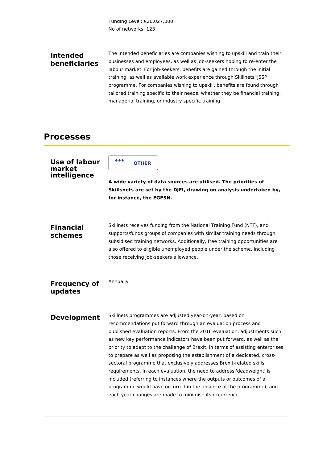Funding Level: €26,027,000 No of networks: 123

### **Intended beneficiaries**

The intended beneficiaries are companies wishing to upskill and train their businesses and employees, as well as job-seekers hoping to re-enter the labour market. For job-seekers, benefits are gained through the initial training, as well as available work experience through Skillnets' JSSP programme. For companies wishing to upskill, benefits are found through tailored training specific to their needs, whether they be financial training, managerial training, or industry specific training.

### **Processes**

| <b>Use of labour</b><br>market<br>intelligence | .<br><b>OTHER</b><br>A wide variety of data sources are utilised. The priorities of<br>Skillsnets are set by the DJEI, drawing on analysis undertaken by,<br>for instance, the EGFSN.                                                                                                                                                                                                                                                                                                                                                                                                                                                                                                                                                                                                                   |
|------------------------------------------------|---------------------------------------------------------------------------------------------------------------------------------------------------------------------------------------------------------------------------------------------------------------------------------------------------------------------------------------------------------------------------------------------------------------------------------------------------------------------------------------------------------------------------------------------------------------------------------------------------------------------------------------------------------------------------------------------------------------------------------------------------------------------------------------------------------|
| <b>Financial</b><br>schemes                    | Skillnets receives funding from the National Training Fund (NTF), and<br>supports/funds groups of companies with similar training needs through<br>subsidised training networks. Additionally, free training opportunities are<br>also offered to eligible unemployed people under the scheme, including<br>those receiving job-seekers allowance.                                                                                                                                                                                                                                                                                                                                                                                                                                                      |
| <b>Frequency of</b><br>updates                 | Annually                                                                                                                                                                                                                                                                                                                                                                                                                                                                                                                                                                                                                                                                                                                                                                                                |
| <b>Development</b>                             | Skillnets programmes are adjusted year-on-year, based on<br>recommendations put forward through an evaluation process and<br>published evaluation reports. From the 2016 evaluation, adjustments such<br>as new key performance indicators have been put forward, as well as the<br>priority to adapt to the challenge of Brexit, in terms of assisting enterprises<br>to prepare as well as proposing the establishment of a dedicated, cross-<br>sectoral programme that exclusively addresses Brexit-related skills<br>requirements. In each evaluation, the need to address 'deadweight' is<br>included (referring to instances where the outputs or outcomes of a<br>programme would have occurred in the absence of the programme), and<br>each year changes are made to minimise its occurrence. |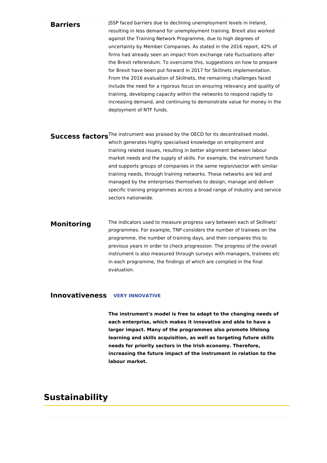#### **Barriers**

JSSP faced barriers due to declining unemployment levels in Ireland, resulting in less demand for unemployment training. Brexit also worked against the Training Network Programme, due to high degrees of uncertainty by Member Companies. As stated in the 2016 report, 42% of firms had already seen an impact from exchange rate fluctuations after the Brexit referendum. To overcome this, suggestions on how to prepare for Brexit have been put forward in 2017 for Skillnets implementation. From the 2016 evaluation of Skillnets, the remaining challenges faced include the need for a rigorous focus on ensuring relevancy and quality of training, developing capacity within the networks to respond rapidly to increasing demand, and continuing to demonstrate value for money in the deployment of NTF funds.

**Success factors**<sup>The instrument was praised by the OECD for its decentralised model,</sup> which generates highly specialised knowledge on employment and training related issues, resulting in better alignment between labour market needs and the supply of skills. For example, the instrument funds and supports groups of companies in the same region/sector with similar training needs, through training networks. These networks are led and managed by the enterprises themselves to design, manage and deliver specific training programmes across a broad range of industry and service sectors nationwide.

#### **Monitoring** The indicators used to measure progress vary between each of Skillnets' programmes. For example, TNP considers the number of trainees on the programme, the number of training days, and then compares this to previous years in order to check progression. The progress of the overall instrument is also measured through surveys with managers, trainees etc in each programme, the findings of which are complied in the final evaluation.

#### **Innovativeness VERY INNOVATIVE**

**The instrument's model is free to adapt to the changing needs of each enterprise, which makes it innovative and able to have a larger impact. Many of the programmes also promote lifelong learning and skills acquisition, as well as targeting future skills needs for priority sectors in the Irish economy. Therefore, increasing the future impact of the instrument in relation to the labour market.**

### **Sustainability**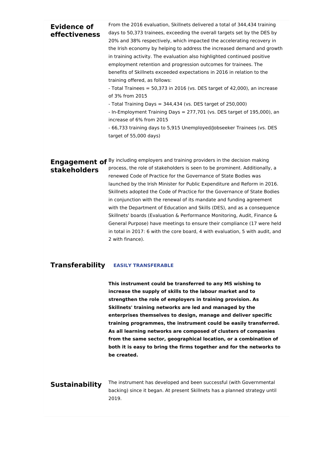| Evidence of<br>effectiveness                                                                  | From the 2016 evaluation, Skillnets delivered a total of 344,434 training   |
|-----------------------------------------------------------------------------------------------|-----------------------------------------------------------------------------|
|                                                                                               | days to 50,373 trainees, exceeding the overall targets set by the DES by    |
|                                                                                               | 20% and 38% respectively, which impacted the accelerating recovery in       |
|                                                                                               | the Irish economy by helping to address the increased demand and growth     |
|                                                                                               | in training activity. The evaluation also highlighted continued positive    |
|                                                                                               | employment retention and progression outcomes for trainees. The             |
|                                                                                               | benefits of Skillnets exceeded expectations in 2016 in relation to the      |
|                                                                                               | training offered, as follows:                                               |
|                                                                                               | - Total Trainees = $50,373$ in 2016 (vs. DES target of 42,000), an increase |
|                                                                                               | of 3% from 2015                                                             |
|                                                                                               | - Total Training Days = 344,434 (vs. DES target of 250,000)                 |
|                                                                                               | - In-Employment Training Days = 277,701 (vs. DES target of 195,000), an     |
|                                                                                               | increase of 6% from 2015                                                    |
|                                                                                               | - 66,733 training days to 5,915 Unemployed/Jobseeker Trainees (vs. DES      |
|                                                                                               | target of 55,000 days)                                                      |
|                                                                                               |                                                                             |
|                                                                                               |                                                                             |
| Engagement of <sup>By including employers and training providers in the decision making</sup> |                                                                             |

**stakeholders**

process, the role of stakeholders is seen to be prominent. Additionally, a renewed Code of Practice for the Governance of State Bodies was launched by the Irish Minister for Public Expenditure and Reform in 2016. Skillnets adopted the Code of Practice for the Governance of State Bodies in conjunction with the renewal of its mandate and funding agreement with the Department of Education and Skills (DES), and as a consequence Skillnets' boards (Evaluation & Performance Monitoring, Audit, Finance & General Purpose) have meetings to ensure their compliance (17 were held in total in 2017: 6 with the core board, 4 with evaluation, 5 with audit, and 2 with finance).

#### **Transferability EASILY TRANSFERABLE**

**This instrument could be transferred to any MS wishing to increase the supply of skills to the labour market and to strengthen the role of employers in training provision. As Skillnets' training networks are led and managed by the enterprises themselves to design, manage and deliver specific training programmes, the instrument could be easily transferred. As all learning networks are composed of clusters of companies from the same sector, geographical location, or a combination of both it is easy to bring the firms together and for the networks to be created.**

#### **Sustainability**

The instrument has developed and been successful (with Governmental backing) since it began. At present Skillnets has a planned strategy until 2019.